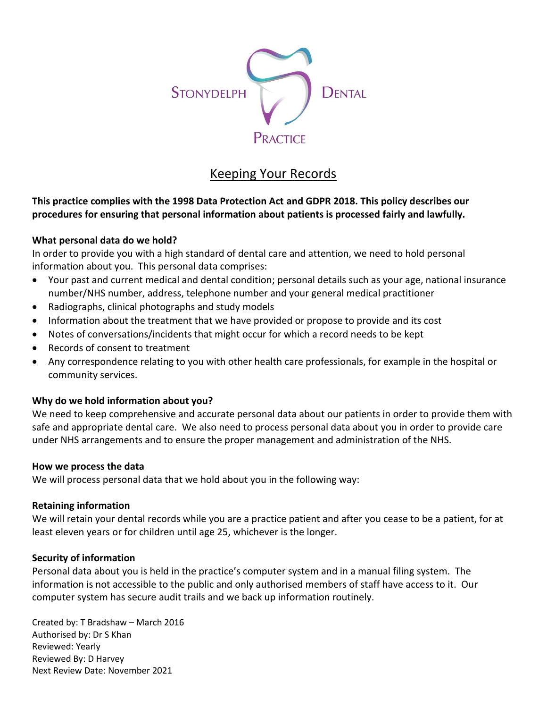

# Keeping Your Records

## **This practice complies with the 1998 Data Protection Act and GDPR 2018. This policy describes our procedures for ensuring that personal information about patients is processed fairly and lawfully.**

## **What personal data do we hold?**

In order to provide you with a high standard of dental care and attention, we need to hold personal information about you. This personal data comprises:

- Your past and current medical and dental condition; personal details such as your age, national insurance number/NHS number, address, telephone number and your general medical practitioner
- Radiographs, clinical photographs and study models
- Information about the treatment that we have provided or propose to provide and its cost
- Notes of conversations/incidents that might occur for which a record needs to be kept
- Records of consent to treatment
- Any correspondence relating to you with other health care professionals, for example in the hospital or community services.

## **Why do we hold information about you?**

We need to keep comprehensive and accurate personal data about our patients in order to provide them with safe and appropriate dental care. We also need to process personal data about you in order to provide care under NHS arrangements and to ensure the proper management and administration of the NHS.

#### **How we process the data**

We will process personal data that we hold about you in the following way:

#### **Retaining information**

We will retain your dental records while you are a practice patient and after you cease to be a patient, for at least eleven years or for children until age 25, whichever is the longer.

#### **Security of information**

Personal data about you is held in the practice's computer system and in a manual filing system. The information is not accessible to the public and only authorised members of staff have access to it. Our computer system has secure audit trails and we back up information routinely.

Created by: T Bradshaw – March 2016 Authorised by: Dr S Khan Reviewed: Yearly Reviewed By: D Harvey Next Review Date: November 2021